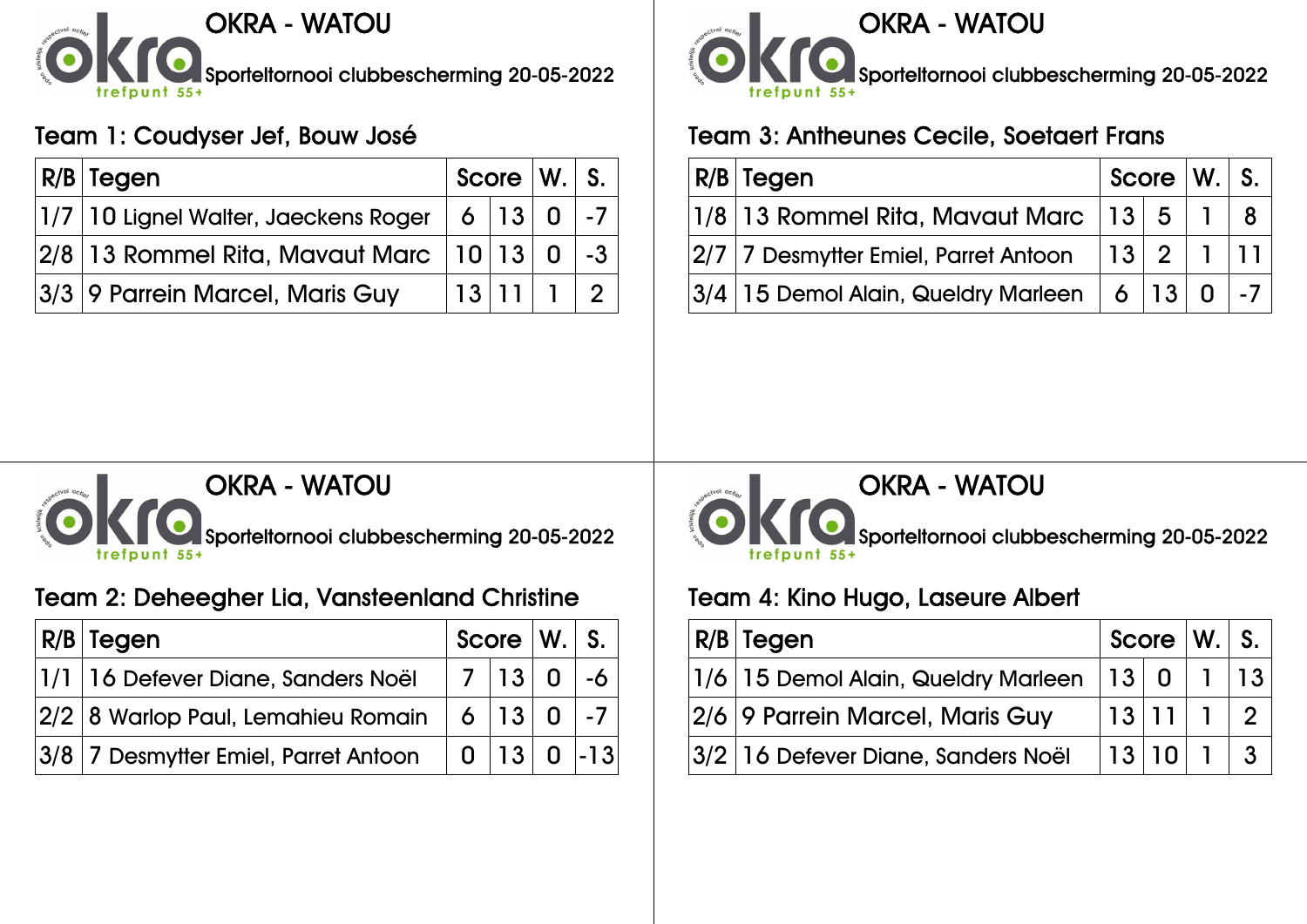

### Team 1: Coudyser Jef, Bouw José

| R/B Tegen                                                                                     | Score $ W. S. $ |  |           |
|-----------------------------------------------------------------------------------------------|-----------------|--|-----------|
| $ 1/7\, \,10$ Lignel Walter, Jaeckens Roger $\,$ $\,$ $\,$ 6 $\,$ $\,$ $\,$ $\,13$ $\,$ $\,0$ |                 |  |           |
| $ 2/8 13$ Rommel Rita, Mavaut Marc $ 10 13 0 $ -3 $ $                                         |                 |  |           |
| 3/3 9 Parrein Marcel, Maris Guy                                                               |                 |  | 13 11 1 2 |



### Team 3: Antheunes Cecile, Soetaert Frans

| R/B Tegen                                                                                      |  | $\sqrt{2}$ Score $\sqrt{W}$ . $\sqrt{S}$ . |
|------------------------------------------------------------------------------------------------|--|--------------------------------------------|
| $\vert 1/8 \, \vert$ 13 Rommel Rita, Mavaut Marc $\vert \vert 13 \, \vert$ 5 $\vert \vert$     |  |                                            |
| $ 2/7 $ 7 Desmytter Emiel, Parret Antoon $- 13 $ $2$ $-1$ $- 11 $                              |  |                                            |
| $ 3/4 15$ Demol Alain, Queldry Marleen $\parallel 6 \mid$ 13 $\parallel 0 \mid$ -7 $\parallel$ |  |                                            |



# Team 2: Deheegher Lia, Vansteenland Christine

| $ R/B $ Tegen                                           | $Score$ $ W.$ $ S.$ $ $ |  |              |
|---------------------------------------------------------|-------------------------|--|--------------|
| 1/1 16 Defever Diane, Sanders Noël                      |                         |  | $ 7 13 0$ -6 |
| $ 2/2 $ 8 Warlop Paul, Lemahieu Romain $ 6 13 0$ -7     |                         |  |              |
| $ 3/8 $ 7 Desmytter Emiel, Parret Antoon $ 0 13 0 $ -13 |                         |  |              |



#### OKRA - WATOU

Sporteltornooi clubbescherming 20-05-2022

### Team 4: Kino Hugo, Laseure Albert

| $ R/B $ Tegen                                       | Score $ W_1 $ S. $ $ |  |  |
|-----------------------------------------------------|----------------------|--|--|
| $ 1/6 15$ Demol Alain, Queldry Marleen $ 13 0 1 13$ |                      |  |  |
| 2/6 9 Parrein Marcel, Maris Guy                     |                      |  |  |
| 3/2 16 Defever Diane, Sanders Noël                  | 13 10 1 3            |  |  |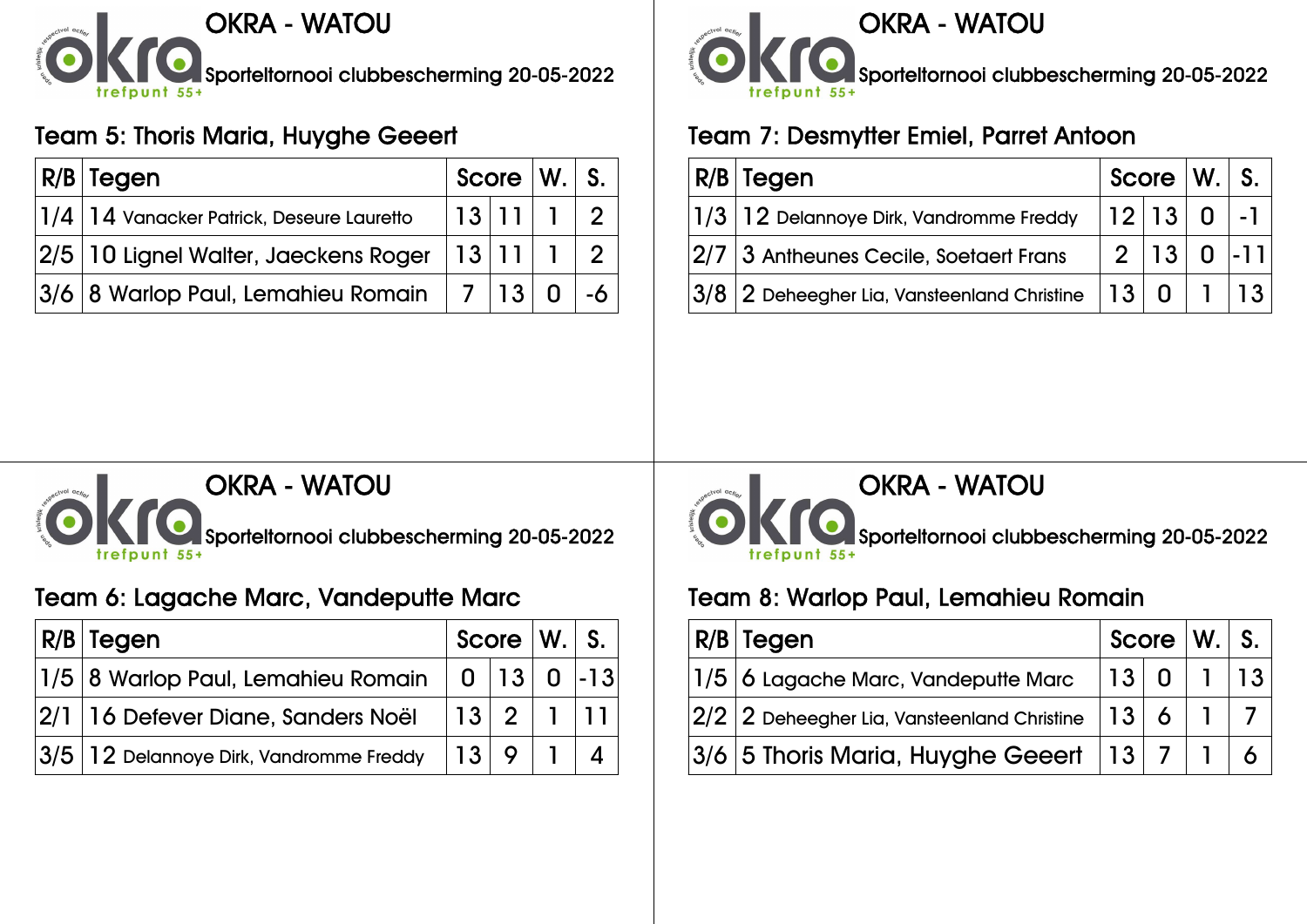

# Team 5: Thoris Maria, Huyghe Geeert

| <b>R/B Tegen</b>                                                         | Score $\vert$ W. $\vert$ S. |  |  |
|--------------------------------------------------------------------------|-----------------------------|--|--|
| $\left\vert 1/4\right\vert 14$ Vanacker Patrick, Deseure Lauretto        | 13 11 12                    |  |  |
| $ 2/5\, \,10$ Lignel Walter, Jaeckens Roger $\, \,13\, \,11\, \,1\, \,2$ |                             |  |  |
| $ 3/6 $ $8$ Warlop Paul, Lemahieu Romain $\parallel 7 \parallel$ $13 $   |                             |  |  |



### Team 7: Desmytter Emiel, Parret Antoon

| $ R/B $ Tegen                                               | $\sqrt{2}$ Score $\sqrt{W}$ . $\sqrt{S}$ . |  |               |
|-------------------------------------------------------------|--------------------------------------------|--|---------------|
| $ 1/3 12$ Delannoye Dirk, Vandromme Freddy                  |                                            |  | $ 12 13 0$ -1 |
| $ 2/7 3$ Antheunes Cecile, Soetaert Frans                   |                                            |  | $2 13 0 $ -11 |
| $ 3/8 2$ Deheegher Lia, Vansteenland Christine $ 13 0 1 13$ |                                            |  |               |



### Team 6: Lagache Marc, Vandeputte Marc

| $ R/B $ Tegen                                       |           |  | Score W. S. |
|-----------------------------------------------------|-----------|--|-------------|
| $ 1/5 8$ Warlop Paul, Lemahieu Romain $ 0 13 0$ -13 |           |  |             |
| $ 2/1 16$ Defever Diane, Sanders Noël               | 13 2 1 11 |  |             |
| $ 3/5 $ $ 12$ Delannoye Dirk, Vandromme Freddy      | 13 9 1    |  |             |



Sporteltornooi clubbescherming 20-05-2022

#### Team 8: Warlop Paul, Lemahieu Romain

| R/B Tegen                                                                                                  |           |  | Score $ W_1 $ S. $ $ |
|------------------------------------------------------------------------------------------------------------|-----------|--|----------------------|
| $ 1/5 $ $\bf{6}$ Lagache Marc, Vandeputte Marc                                                             | 13 0 1 13 |  |                      |
| $\left 2/2\right 2$ Deheegher Lia, Vansteenland Christine $\left  \left. 13\right  \right.6\left. \right $ |           |  |                      |
| $ 3/6 $ 5 Thoris Maria, Huyghe Geeert $ 13 $ 7 $ 1 $ 6                                                     |           |  |                      |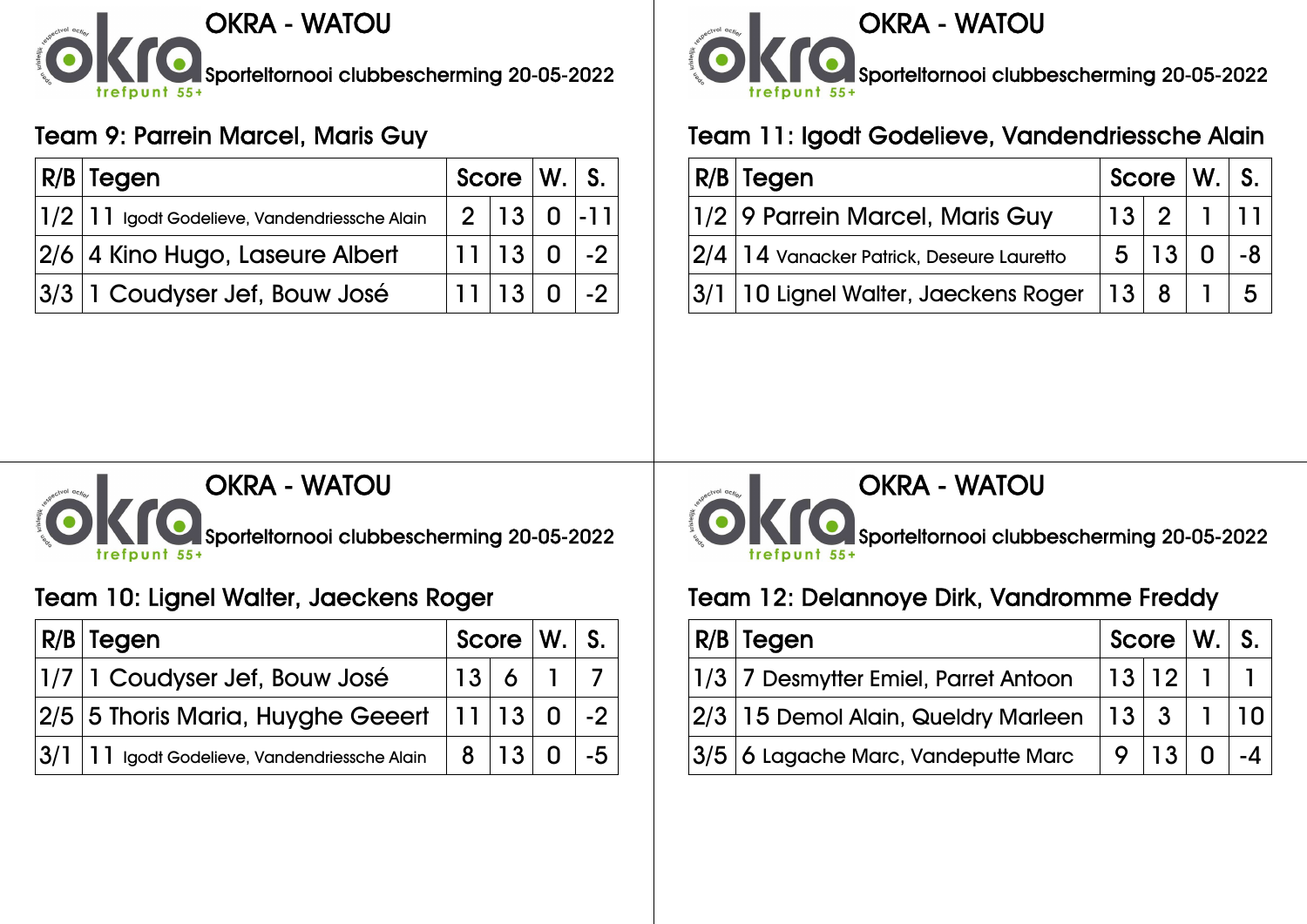

## Team 9: Parrein Marcel, Maris Guy

| R/B Tegen                                                            | Score $\vert W_{1} \vert$ S. |               |                    |
|----------------------------------------------------------------------|------------------------------|---------------|--------------------|
| $\vert 1/2 \, \vert 11 \vert$ Igodt Godelieve, Vandendriessche Alain |                              | $2 13 0 $ -11 |                    |
| 2/6 4 Kino Hugo, Laseure Albert                                      |                              |               | $ 11 13 0$ -2      |
| 3/3 1 Coudyser Jef, Bouw José                                        |                              |               | $ 11 13 0 $ -2 $ $ |



### Team 11: Igodt Godelieve, Vandendriessche Alain

| $ R/B $ Tegen                                      | Score $ W. S. $ |                                                                          |      |
|----------------------------------------------------|-----------------|--------------------------------------------------------------------------|------|
| 1/2 9 Parrein Marcel, Maris Guy                    |                 | $\begin{array}{c c c c c c} \hline 13 & 2 & 1 & 11 \\\hline \end{array}$ |      |
| 2/4   14 Vanacker Patrick, Deseure Lauretto        |                 | 5 13 0                                                                   | ∣ -8 |
| $ 3/1 10$ Lignel Walter, Jaeckens Roger $ 13 8 15$ |                 |                                                                          |      |



### Team 10: Lignel Walter, Jaeckens Roger

| $ R/B $ Tegen                                         |          |      | Score $ W. $ S.                  |
|-------------------------------------------------------|----------|------|----------------------------------|
| 1/7 1 Coudyser Jef, Bouw José                         |          | 13 6 |                                  |
| $ 2/5 $ 5 Thoris Maria, Huyghe Geeert $ 11 13 0$ -2   |          |      |                                  |
| $ 3/1 $ $ 11 $ Igodt Godelieve, Vandendriessche Alain | $8 13 0$ |      | $\overline{1}$ -5 $\overline{1}$ |



#### OKRA - WATOU

Sporteltornooi clubbescherming 20-05-2022

### Team 12: Delannoye Dirk, Vandromme Freddy

| $ R/B $ Tegen                                       |         |  | Score W. S. |
|-----------------------------------------------------|---------|--|-------------|
| 1/3 7 Desmytter Emiel, Parret Antoon                | 13 12 1 |  |             |
| $ 2/3 15$ Demol Alain, Queldry Marleen $ 13 3 1 10$ |         |  |             |
| $ 3/5 $ 6 Lagache Marc, Vandeputte Marc             | 9 13 0  |  |             |